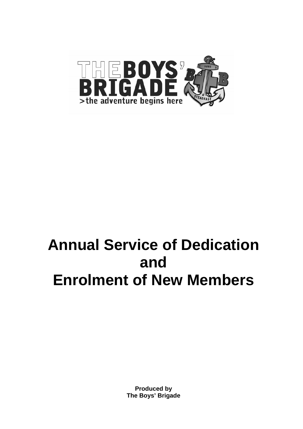

# **Annual Service of Dedication and Enrolment of New Members**

**Produced by The Boys' Brigade**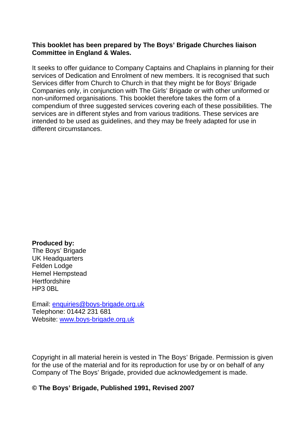## **This booklet has been prepared by The Boys' Brigade Churches liaison Committee in England & Wales.**

It seeks to offer guidance to Company Captains and Chaplains in planning for their services of Dedication and Enrolment of new members. It is recognised that such Services differ from Church to Church in that they might be for Boys' Brigade Companies only, in conjunction with The Girls' Brigade or with other uniformed or non-uniformed organisations. This booklet therefore takes the form of a compendium of three suggested services covering each of these possibilities. The services are in different styles and from various traditions. These services are intended to be used as guidelines, and they may be freely adapted for use in different circumstances.

#### **Produced by:**

The Boys' Brigade UK Headquarters Felden Lodge Hemel Hempstead **Hertfordshire** HP3 0BL

Email: enquiries@boys-brigade.org.uk Telephone: 01442 231 681 Website: www.boys-brigade.org.uk

Copyright in all material herein is vested in The Boys' Brigade. Permission is given for the use of the material and for its reproduction for use by or on behalf of any Company of The Boys' Brigade, provided due acknowledgement is made.

#### **© The Boys' Brigade, Published 1991, Revised 2007**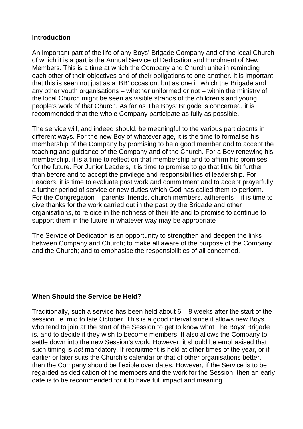# **Introduction**

An important part of the life of any Boys' Brigade Company and of the local Church of which it is a part is the Annual Service of Dedication and Enrolment of New Members. This is a time at which the Company and Church unite in reminding each other of their objectives and of their obligations to one another. It is important that this is seen not just as a 'BB' occasion, but as one in which the Brigade and any other youth organisations – whether uniformed or not – within the ministry of the local Church might be seen as visible strands of the children's and young people's work of that Church. As far as The Boys' Brigade is concerned, it is recommended that the whole Company participate as fully as possible.

The service will, and indeed should, be meaningful to the various participants in different ways. For the new Boy of whatever age, it is the time to formalise his membership of the Company by promising to be a good member and to accept the teaching and guidance of the Company and of the Church. For a Boy renewing his membership, it is a time to reflect on that membership and to affirm his promises for the future. For Junior Leaders, it is time to promise to go that little bit further than before and to accept the privilege and responsibilities of leadership. For Leaders, it is time to evaluate past work and commitment and to accept prayerfully a further period of service or new duties which God has called them to perform. For the Congregation – parents, friends, church members, adherents – it is time to give thanks for the work carried out in the past by the Brigade and other organisations, to rejoice in the richness of their life and to promise to continue to support them in the future in whatever way may be appropriate

The Service of Dedication is an opportunity to strengthen and deepen the links between Company and Church; to make all aware of the purpose of the Company and the Church; and to emphasise the responsibilities of all concerned.

# **When Should the Service be Held?**

Traditionally, such a service has been held about  $6 - 8$  weeks after the start of the session i.e. mid to late October. This is a good interval since it allows new Boys who tend to join at the start of the Session to get to know what The Boys' Brigade is, and to decide if they wish to become members. It also allows the Company to settle down into the new Session's work. However, it should be emphasised that such timing is *not* mandatory. If recruitment is held at other times of the year, or if earlier or later suits the Church's calendar or that of other organisations better, then the Company should be flexible over dates. However, if the Service is to be regarded as dedication of the members and the work for the Session, then an early date is to be recommended for it to have full impact and meaning.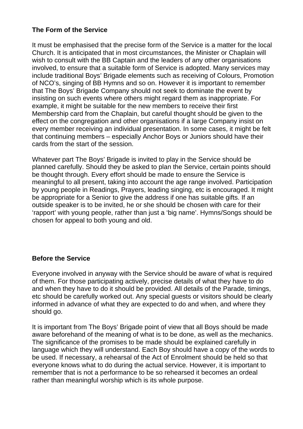# **The Form of the Service**

It must be emphasised that the precise form of the Service is a matter for the local Church. It is anticipated that in most circumstances, the Minister or Chaplain will wish to consult with the BB Captain and the leaders of any other organisations involved, to ensure that a suitable form of Service is adopted. Many services may include traditional Boys' Brigade elements such as receiving of Colours, Promotion of NCO's, singing of BB Hymns and so on. However it is important to remember that The Boys' Brigade Company should not seek to dominate the event by insisting on such events where others might regard them as inappropriate. For example, it might be suitable for the new members to receive their first Membership card from the Chaplain, but careful thought should be given to the effect on the congregation and other organisations if a large Company insist on every member receiving an individual presentation. In some cases, it might be felt that continuing members – especially Anchor Boys or Juniors should have their cards from the start of the session.

Whatever part The Boys' Brigade is invited to play in the Service should be planned carefully. Should they be asked to plan the Service, certain points should be thought through. Every effort should be made to ensure the Service is meaningful to all present, taking into account the age range involved. Participation by young people in Readings, Prayers, leading singing, etc is encouraged. It might be appropriate for a Senior to give the address if one has suitable gifts. If an outside speaker is to be invited, he or she should be chosen with care for their 'rapport' with young people, rather than just a 'big name'. Hymns/Songs should be chosen for appeal to both young and old.

# **Before the Service**

Everyone involved in anyway with the Service should be aware of what is required of them. For those participating actively, precise details of what they have to do and when they have to do it should be provided. All details of the Parade, timings, etc should be carefully worked out. Any special guests or visitors should be clearly informed in advance of what they are expected to do and when, and where they should go.

It is important from The Boys' Brigade point of view that all Boys should be made aware beforehand of the meaning of what is to be done, as well as the mechanics. The significance of the promises to be made should be explained carefully in language which they will understand. Each Boy should have a copy of the words to be used. If necessary, a rehearsal of the Act of Enrolment should be held so that everyone knows what to do during the actual service. However, it is important to remember that is not a performance to be so rehearsed it becomes an ordeal rather than meaningful worship which is its whole purpose.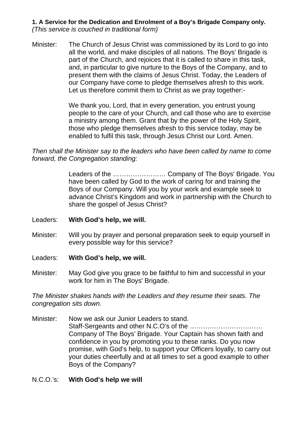## **1. A Service for the Dedication and Enrolment of a Boy's Brigade Company only.**  *(This service is couched in traditional form)*

Minister: The Church of Jesus Christ was commissioned by its Lord to go into all the world, and make disciples of all nations. The Boys' Brigade is part of the Church, and rejoices that it is called to share in this task, and, in particular to give nurture to the Boys of the Company, and to present them with the claims of Jesus Christ. Today, the Leaders of our Company have come to pledge themselves afresh to this work. Let us therefore commit them to Christ as we pray together:-

> We thank you, Lord, that in every generation, you entrust young people to the care of your Church, and call those who are to exercise a ministry among them. Grant that by the power of the Holy Spirit, those who pledge themselves afresh to this service today, may be enabled to fulfil this task, through Jesus Christ our Lord. Amen.

*Then shall the Minister say to the leaders who have been called by name to come forward, the Congregation standing:* 

> Leaders of the …………………… Company of The Boys' Brigade. You have been called by God to the work of caring for and training the Boys of our Company. Will you by your work and example seek to advance Christ's Kingdom and work in partnership with the Church to share the gospel of Jesus Christ?

- Leaders: **With God's help, we will.**
- Minister: Will you by prayer and personal preparation seek to equip yourself in every possible way for this service?
- Leaders: **With God's help, we will.**
- Minister: May God give you grace to be faithful to him and successful in your work for him in The Boys' Brigade.

*The Minister shakes hands with the Leaders and they resume their seats. The congregation sits down.* 

- Minister: Now we ask our Junior Leaders to stand. Staff-Sergeants and other N.C.O's of the …………………………… Company of The Boys' Brigade. Your Captain has shown faith and confidence in you by promoting you to these ranks. Do you now promise, with God's help, to support your Officers loyally, to carry out your duties cheerfully and at all times to set a good example to other Boys of the Company?
- N.C.O.'s: **With God's help we will**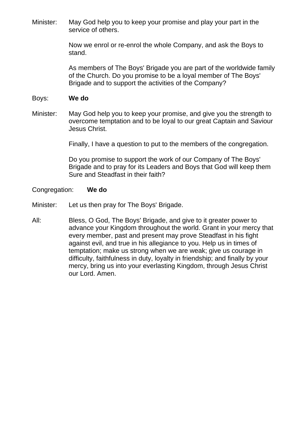Minister: May God help you to keep your promise and play your part in the service of others.

> Now we enrol or re-enrol the whole Company, and ask the Boys to stand.

As members of The Boys' Brigade you are part of the worldwide family of the Church. Do you promise to be a loyal member of The Boys' Brigade and to support the activities of the Company?

#### Boys: **We do**

Minister: May God help you to keep your promise, and give you the strength to overcome temptation and to be loyal to our great Captain and Saviour Jesus Christ.

Finally, I have a question to put to the members of the congregation.

Do you promise to support the work of our Company of The Boys' Brigade and to pray for its Leaders and Boys that God will keep them Sure and Steadfast in their faith?

#### Congregation: **We do**

- Minister: Let us then pray for The Boys' Brigade.
- All: Bless, O God, The Boys' Brigade, and give to it greater power to advance your Kingdom throughout the world. Grant in your mercy that every member, past and present may prove Steadfast in his fight against evil, and true in his allegiance to you. Help us in times of temptation; make us strong when we are weak; give us courage in difficulty, faithfulness in duty, loyalty in friendship; and finally by your mercy, bring us into your everlasting Kingdom, through Jesus Christ our Lord. Amen.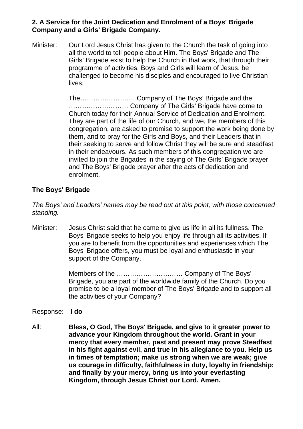## **2. A Service for the Joint Dedication and Enrolment of a Boys' Brigade Company and a Girls' Brigade Company.**

Minister: Our Lord Jesus Christ has given to the Church the task of going into all the world to tell people about Him. The Boys' Brigade and The Girls' Brigade exist to help the Church in that work, that through their programme of activities, Boys and Girls will learn of Jesus, be challenged to become his disciples and encouraged to live Christian lives.

> The……………………. Company of The Boys' Brigade and the ……………………… Company of The Girls' Brigade have come to Church today for their Annual Service of Dedication and Enrolment. They are part of the life of our Church, and we, the members of this congregation, are asked to promise to support the work being done by them, and to pray for the Girls and Boys, and their Leaders that in their seeking to serve and follow Christ they will be sure and steadfast in their endeavours. As such members of this congregation we are invited to join the Brigades in the saying of The Girls' Brigade prayer and The Boys' Brigade prayer after the acts of dedication and enrolment.

# **The Boys' Brigade**

*The Boys' and Leaders' names may be read out at this point, with those concerned standing.* 

Minister: Jesus Christ said that he came to give us life in all its fullness. The Boys' Brigade seeks to help you enjoy life through all its activities. If you are to benefit from the opportunities and experiences which The Boys' Brigade offers, you must be loyal and enthusiastic in your support of the Company.

> Members of the ………………………… Company of The Boys' Brigade, you are part of the worldwide family of the Church. Do you promise to be a loyal member of The Boys' Brigade and to support all the activities of your Company?

#### Response: **I do**

All: **Bless, O God, The Boys' Brigade, and give to it greater power to advance your Kingdom throughout the world. Grant in your mercy that every member, past and present may prove Steadfast in his fight against evil, and true in his allegiance to you. Help us in times of temptation; make us strong when we are weak; give us courage in difficulty, faithfulness in duty, loyalty in friendship; and finally by your mercy, bring us into your everlasting Kingdom, through Jesus Christ our Lord. Amen.**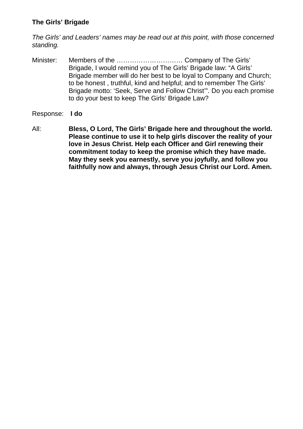# **The Girls' Brigade**

*The Girls' and Leaders' names may be read out at this point, with those concerned standing.* 

Minister: Members of the ………………………… Company of The Girls' Brigade, I would remind you of The Girls' Brigade law: "A Girls' Brigade member will do her best to be loyal to Company and Church; to be honest , truthful, kind and helpful; and to remember The Girls' Brigade motto: 'Seek, Serve and Follow Christ'". Do you each promise to do your best to keep The Girls' Brigade Law?

## Response: **I do**

All: **Bless, O Lord, The Girls' Brigade here and throughout the world. Please continue to use it to help girls discover the reality of your love in Jesus Christ. Help each Officer and Girl renewing their commitment today to keep the promise which they have made. May they seek you earnestly, serve you joyfully, and follow you faithfully now and always, through Jesus Christ our Lord. Amen.**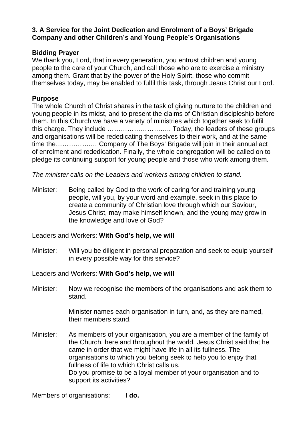# **3. A Service for the Joint Dedication and Enrolment of a Boys' Brigade Company and other Children's and Young People's Organisations**

# **Bidding Prayer**

We thank you, Lord, that in every generation, you entrust children and young people to the care of your Church, and call those who are to exercise a ministry among them. Grant that by the power of the Holy Spirit, those who commit themselves today, may be enabled to fulfil this task, through Jesus Christ our Lord.

# **Purpose**

The whole Church of Christ shares in the task of giving nurture to the children and young people in its midst, and to present the claims of Christian discipleship before them. In this Church we have a variety of ministries which together seek to fulfil this charge. They include ……………………….. Today, the leaders of these groups and organisations will be rededicating themselves to their work, and at the same time the…………….… Company of The Boys' Brigade will join in their annual act of enrolment and rededication. Finally, the whole congregation will be called on to pledge its continuing support for young people and those who work among them.

*The minister calls on the Leaders and workers among children to stand.* 

Minister: Being called by God to the work of caring for and training young people, will you, by your word and example, seek in this place to create a community of Christian love through which our Saviour, Jesus Christ, may make himself known, and the young may grow in the knowledge and love of God?

Leaders and Workers: **With God's help, we will** 

Minister: Will you be diligent in personal preparation and seek to equip yourself in every possible way for this service?

Leaders and Workers: **With God's help, we will**

Minister: Now we recognise the members of the organisations and ask them to stand.

> Minister names each organisation in turn, and, as they are named, their members stand.

Minister: As members of your organisation, you are a member of the family of the Church, here and throughout the world. Jesus Christ said that he came in order that we might have life in all its fullness. The organisations to which you belong seek to help you to enjoy that fullness of life to which Christ calls us. Do you promise to be a loyal member of your organisation and to support its activities?

Members of organisations: **I do.**